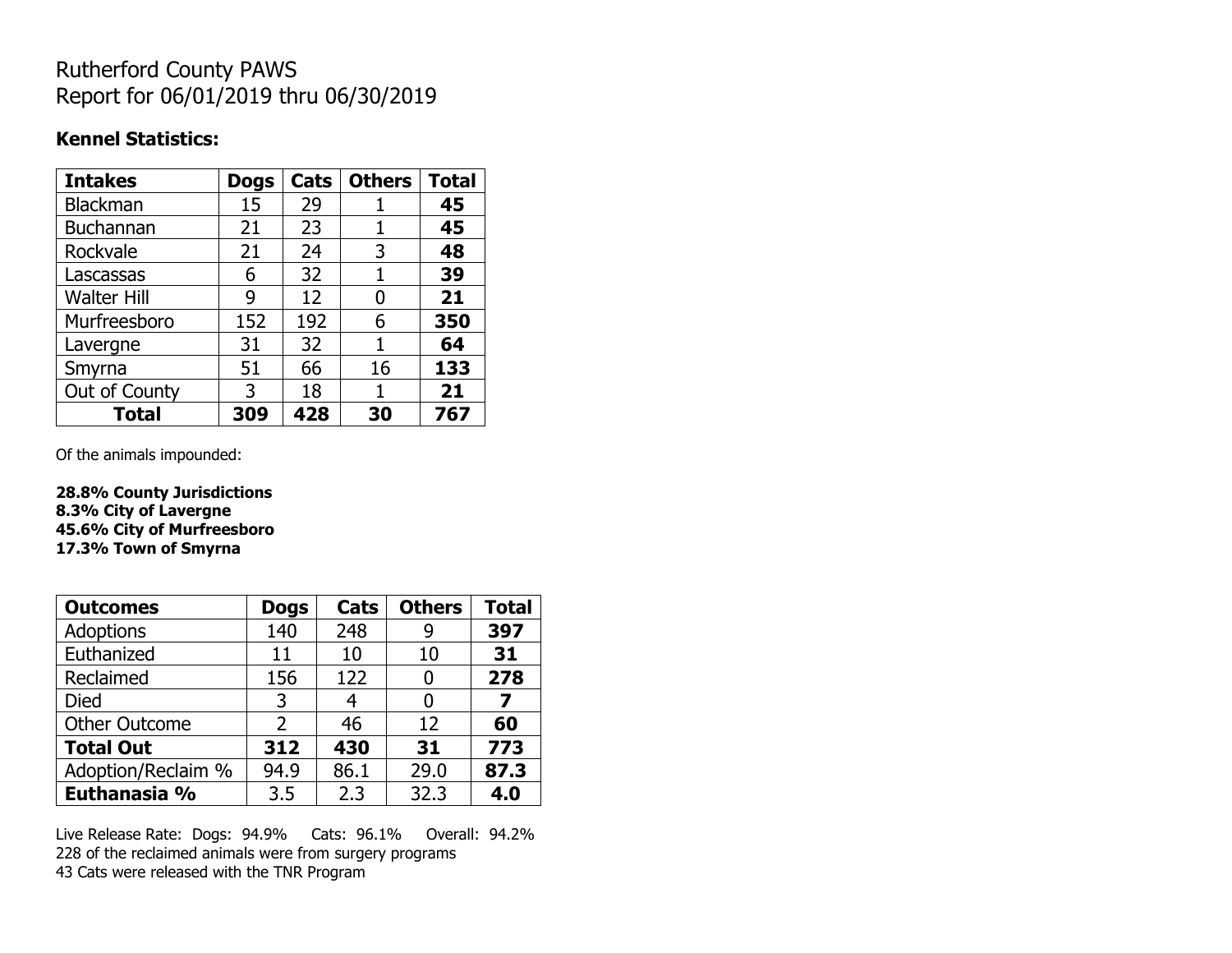## Rutherford County PAWS Report for 06/01/2019 thru 06/30/2019

#### **Kennel Statistics:**

| <b>Intakes</b>     | <b>Dogs</b> | Cats | <b>Others</b> | <b>Total</b> |
|--------------------|-------------|------|---------------|--------------|
| Blackman           | 15          | 29   |               | 45           |
| Buchannan          | 21          | 23   |               | 45           |
| Rockvale           | 21          | 24   | 3             | 48           |
| Lascassas          | 6           | 32   | 1             | 39           |
| <b>Walter Hill</b> | 9           | 12   | 0             | 21           |
| Murfreesboro       | 152         | 192  | 6             | 350          |
| Lavergne           | 31          | 32   | 1             | 64           |
| Smyrna             | 51          | 66   | 16            | 133          |
| Out of County      | 3           | 18   |               | 21           |
| <b>Total</b>       | 309         | 428  | 30            | 767          |

Of the animals impounded:

**28.8% County Jurisdictions 8.3% City of Lavergne 45.6% City of Murfreesboro 17.3% Town of Smyrna**

| <b>Outcomes</b>      | <b>Dogs</b> | Cats | <b>Others</b> | <b>Total</b> |
|----------------------|-------------|------|---------------|--------------|
| Adoptions            | 140         | 248  |               | 397          |
| Euthanized           | 11          | 10   | 10            | 31           |
| Reclaimed            | 156         | 122  |               | 278          |
| <b>Died</b>          | 3           | 4    |               | 7            |
| <b>Other Outcome</b> | 2           | 46   | 12            | 60           |
| <b>Total Out</b>     | 312         | 430  | 31            | 773          |
| Adoption/Reclaim %   | 94.9        | 86.1 | 29.0          | 87.3         |
| Euthanasia %         | 3.5         | 2.3  | 32.3          | 4.0          |

Live Release Rate: Dogs: 94.9% Cats: 96.1% Overall: 94.2% 228 of the reclaimed animals were from surgery programs 43 Cats were released with the TNR Program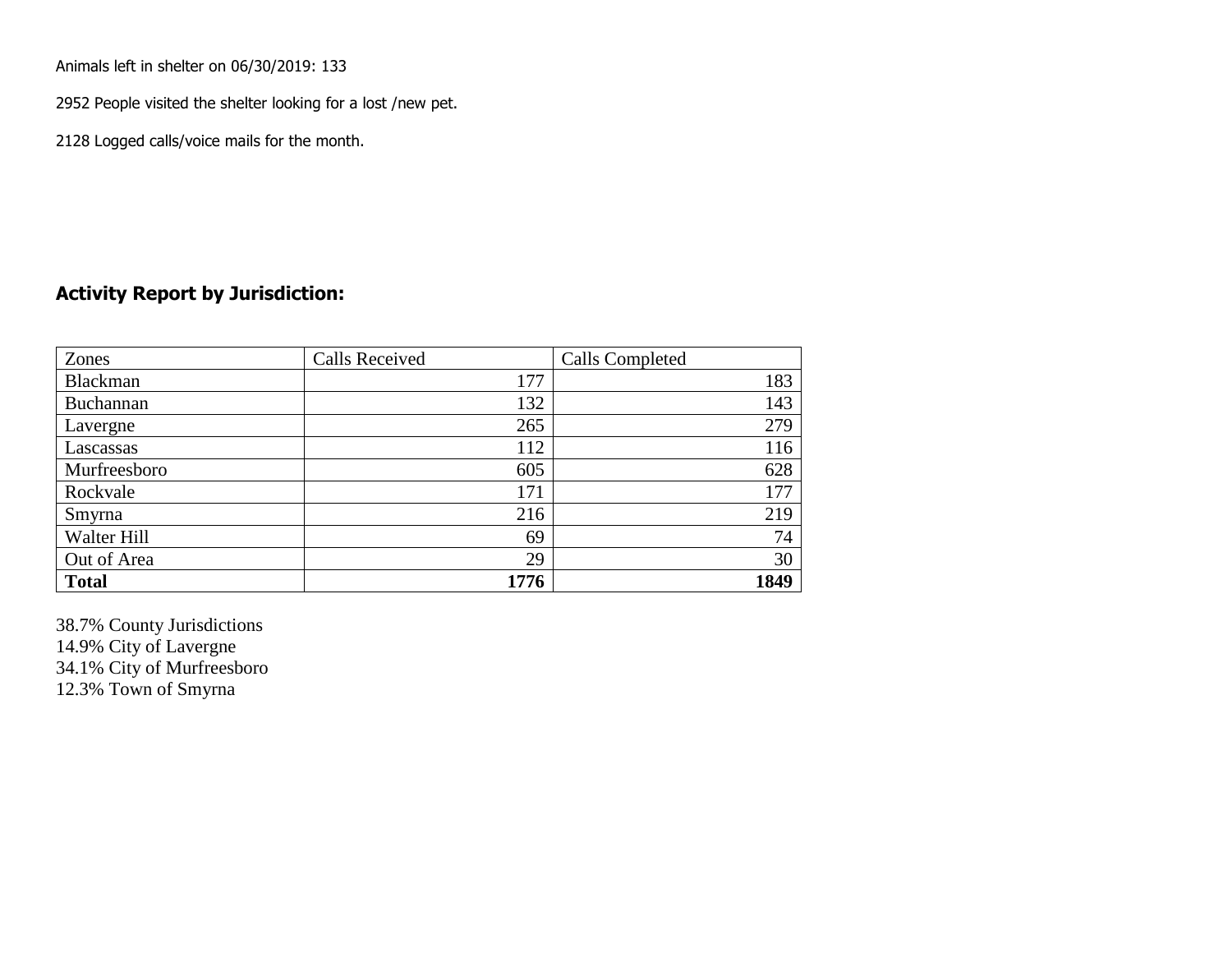Animals left in shelter on 06/30/2019: 133

2952 People visited the shelter looking for a lost /new pet.

2128 Logged calls/voice mails for the month.

### **Activity Report by Jurisdiction:**

| Zones        | <b>Calls Received</b> | Calls Completed |
|--------------|-----------------------|-----------------|
| Blackman     | 177                   | 183             |
| Buchannan    | 132                   | 143             |
| Lavergne     | 265                   | 279             |
| Lascassas    | 112                   | 116             |
| Murfreesboro | 605                   | 628             |
| Rockvale     | 171                   | 177             |
| Smyrna       | 216                   | 219             |
| Walter Hill  | 69                    | 74              |
| Out of Area  | 29                    | 30              |
| <b>Total</b> | 1776                  | 1849            |

38.7% County Jurisdictions 14.9% City of Lavergne 34.1% City of Murfreesboro 12.3% Town of Smyrna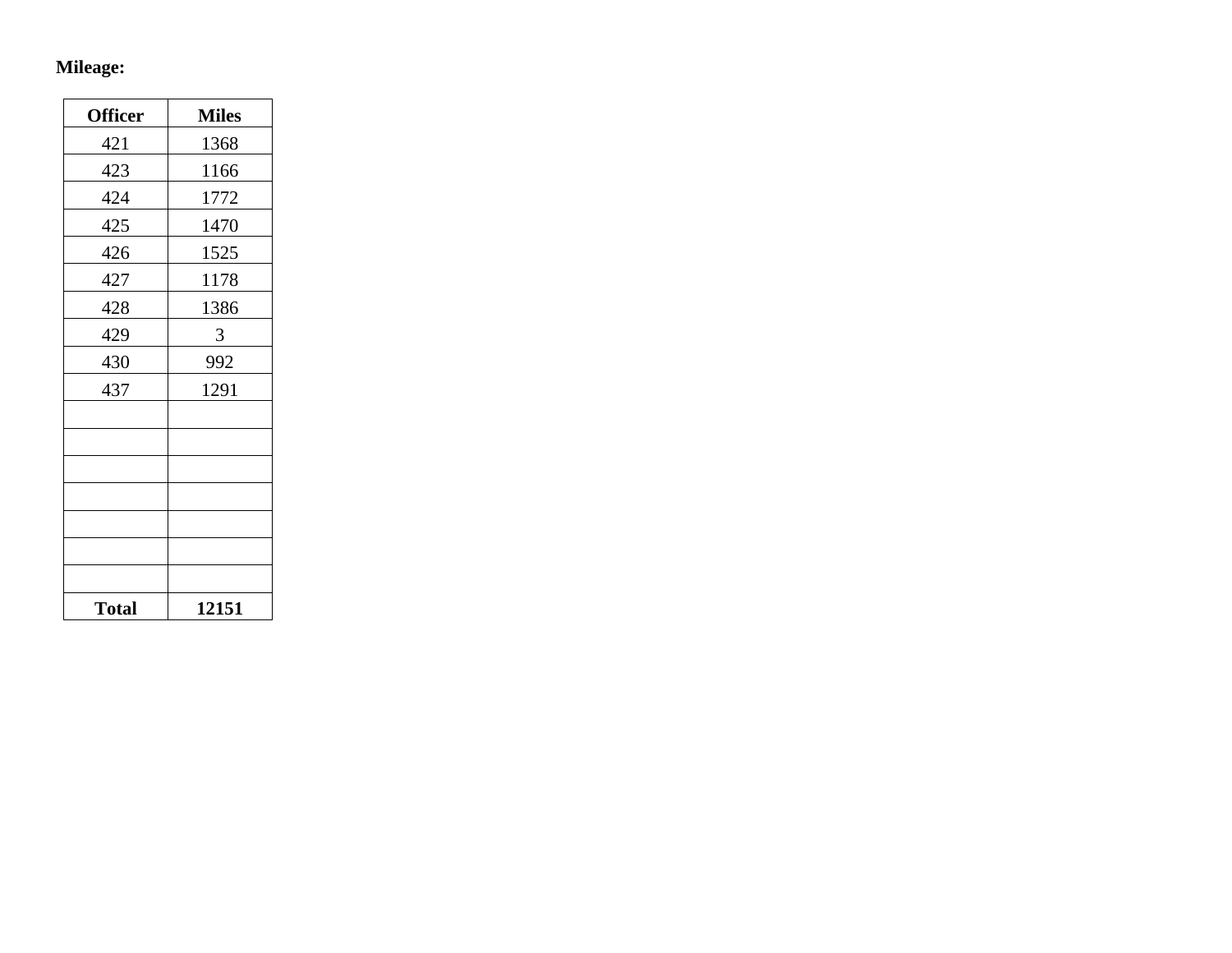## **Mileage:**

| <b>Officer</b> | <b>Miles</b> |
|----------------|--------------|
| 421            | 1368         |
| 423            | 1166         |
| 424            | 1772         |
| 425            | 1470         |
| 426            | 1525         |
| 427            | 1178         |
| 428            | 1386         |
| 429            | 3            |
| 430            | 992          |
| 437            | 1291         |
|                |              |
|                |              |
|                |              |
|                |              |
|                |              |
|                |              |
|                |              |
| <b>Total</b>   | 12151        |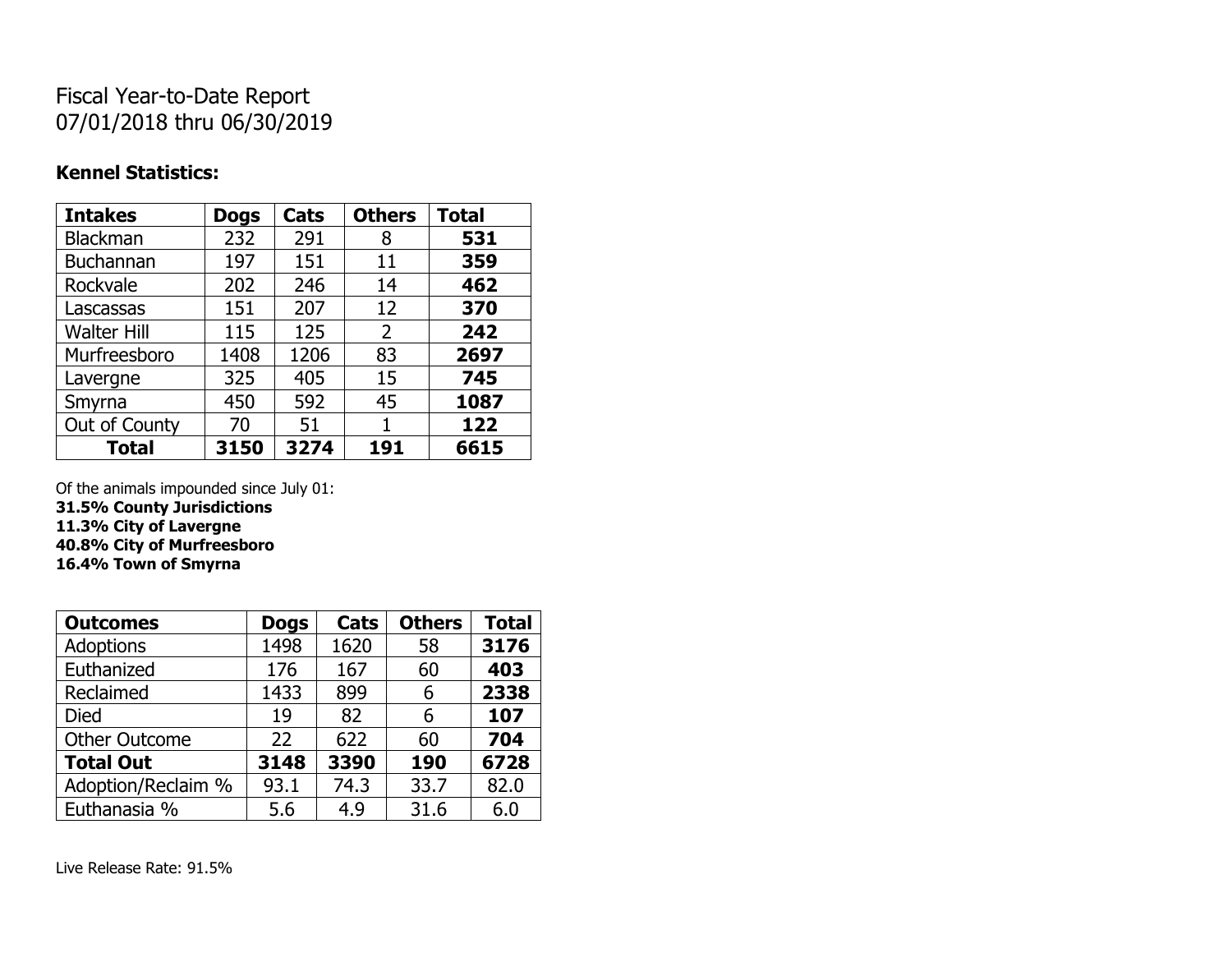# Fiscal Year-to-Date Report 07/01/2018 thru 06/30/2019

### **Kennel Statistics:**

| <b>Intakes</b>     | <b>Dogs</b> | Cats | <b>Others</b>  | <b>Total</b> |
|--------------------|-------------|------|----------------|--------------|
| <b>Blackman</b>    | 232         | 291  | 8              | 531          |
| <b>Buchannan</b>   | 197         | 151  | 11             | 359          |
| Rockvale           | 202         | 246  | 14             | 462          |
| Lascassas          | 151         | 207  | 12             | 370          |
| <b>Walter Hill</b> | 115         | 125  | $\overline{2}$ | 242          |
| Murfreesboro       | 1408        | 1206 | 83             | 2697         |
| Lavergne           | 325         | 405  | 15             | 745          |
| Smyrna             | 450         | 592  | 45             | 1087         |
| Out of County      | 70          | 51   | 1              | 122          |
| <b>Total</b>       | 3150        | 3274 | 191            | 6615         |

Of the animals impounded since July 01:

**31.5% County Jurisdictions**

**11.3% City of Lavergne**

**40.8% City of Murfreesboro**

**16.4% Town of Smyrna**

| <b>Outcomes</b>      | <b>Dogs</b> | Cats | <b>Others</b> | <b>Total</b> |
|----------------------|-------------|------|---------------|--------------|
| <b>Adoptions</b>     | 1498        | 1620 | 58            | 3176         |
| Euthanized           | 176         | 167  | 60            | 403          |
| Reclaimed            | 1433        | 899  | 6             | 2338         |
| <b>Died</b>          | 19          | 82   | 6             | 107          |
| <b>Other Outcome</b> | 22          | 622  | 60            | 704          |
| <b>Total Out</b>     | 3148        | 3390 | 190           | 6728         |
| Adoption/Reclaim %   | 93.1        | 74.3 | 33.7          | 82.0         |
| Euthanasia %         | 5.6         | 4.9  | 31.6          | 6.0          |

Live Release Rate: 91.5%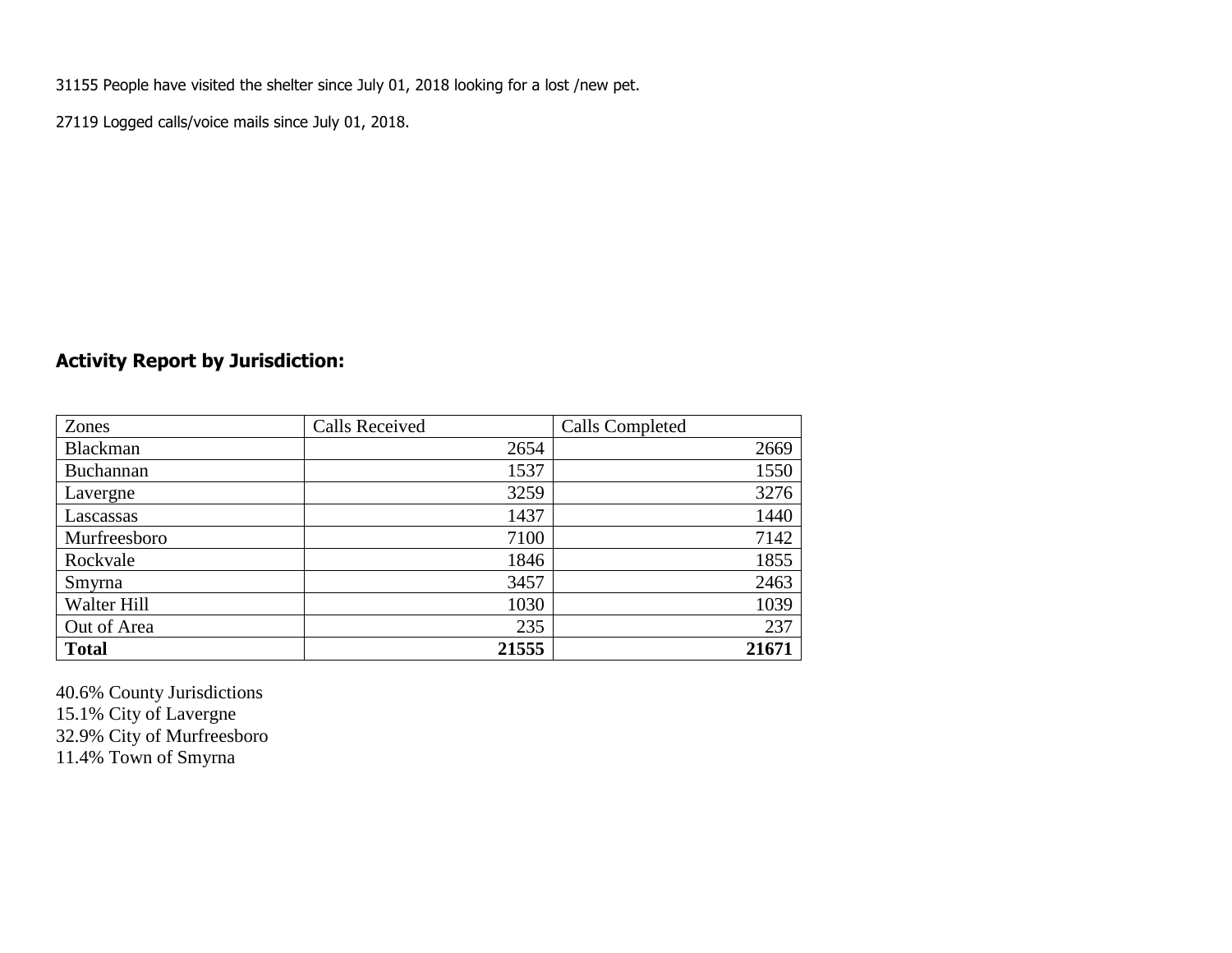31155 People have visited the shelter since July 01, 2018 looking for a lost /new pet.

27119 Logged calls/voice mails since July 01, 2018.

## **Activity Report by Jurisdiction:**

| Zones           | <b>Calls Received</b> | Calls Completed |
|-----------------|-----------------------|-----------------|
| <b>Blackman</b> | 2654                  | 2669            |
| Buchannan       | 1537                  | 1550            |
| Lavergne        | 3259                  | 3276            |
| Lascassas       | 1437                  | 1440            |
| Murfreesboro    | 7100                  | 7142            |
| Rockvale        | 1846                  | 1855            |
| Smyrna          | 3457                  | 2463            |
| Walter Hill     | 1030                  | 1039            |
| Out of Area     | 235                   | 237             |
| <b>Total</b>    | 21555                 | 21671           |

40.6% County Jurisdictions 15.1% City of Lavergne 32.9% City of Murfreesboro 11.4% Town of Smyrna